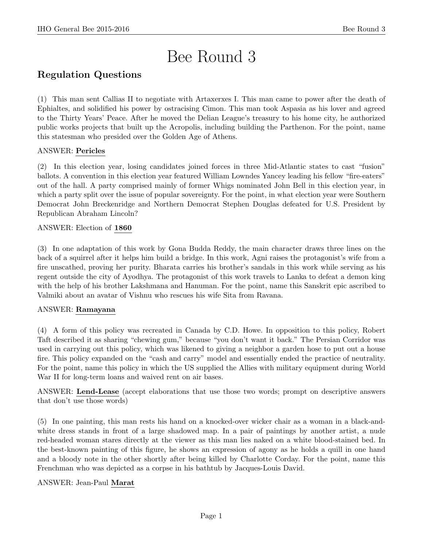# Bee Round 3

# Regulation Questions

(1) This man sent Callias II to negotiate with Artaxerxes I. This man came to power after the death of Ephialtes, and solidified his power by ostracising Cimon. This man took Aspasia as his lover and agreed to the Thirty Years' Peace. After he moved the Delian League's treasury to his home city, he authorized public works projects that built up the Acropolis, including building the Parthenon. For the point, name this statesman who presided over the Golden Age of Athens.

# ANSWER: Pericles

(2) In this election year, losing candidates joined forces in three Mid-Atlantic states to cast "fusion" ballots. A convention in this election year featured William Lowndes Yancey leading his fellow "fire-eaters" out of the hall. A party comprised mainly of former Whigs nominated John Bell in this election year, in which a party split over the issue of popular sovereignty. For the point, in what election year were Southern Democrat John Breckenridge and Northern Democrat Stephen Douglas defeated for U.S. President by Republican Abraham Lincoln?

# ANSWER: Election of 1860

(3) In one adaptation of this work by Gona Budda Reddy, the main character draws three lines on the back of a squirrel after it helps him build a bridge. In this work, Agni raises the protagonist's wife from a fire unscathed, proving her purity. Bharata carries his brother's sandals in this work while serving as his regent outside the city of Ayodhya. The protagonist of this work travels to Lanka to defeat a demon king with the help of his brother Lakshmana and Hanuman. For the point, name this Sanskrit epic ascribed to Valmiki about an avatar of Vishnu who rescues his wife Sita from Ravana.

# ANSWER: Ramayana

(4) A form of this policy was recreated in Canada by C.D. Howe. In opposition to this policy, Robert Taft described it as sharing "chewing gum," because "you don't want it back." The Persian Corridor was used in carrying out this policy, which was likened to giving a neighbor a garden hose to put out a house fire. This policy expanded on the "cash and carry" model and essentially ended the practice of neutrality. For the point, name this policy in which the US supplied the Allies with military equipment during World War II for long-term loans and waived rent on air bases.

ANSWER: Lend-Lease (accept elaborations that use those two words; prompt on descriptive answers that don't use those words)

(5) In one painting, this man rests his hand on a knocked-over wicker chair as a woman in a black-andwhite dress stands in front of a large shadowed map. In a pair of paintings by another artist, a nude red-headed woman stares directly at the viewer as this man lies naked on a white blood-stained bed. In the best-known painting of this figure, he shows an expression of agony as he holds a quill in one hand and a bloody note in the other shortly after being killed by Charlotte Corday. For the point, name this Frenchman who was depicted as a corpse in his bathtub by Jacques-Louis David.

# ANSWER: Jean-Paul Marat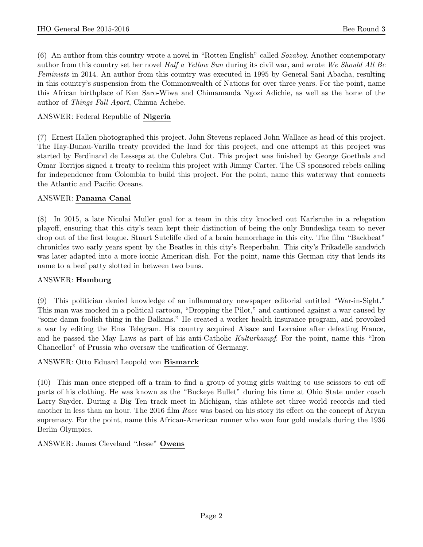(6) An author from this country wrote a novel in "Rotten English" called Sozaboy. Another contemporary author from this country set her novel Half a Yellow Sun during its civil war, and wrote We Should All Be Feminists in 2014. An author from this country was executed in 1995 by General Sani Abacha, resulting in this country's suspension from the Commonwealth of Nations for over three years. For the point, name this African birthplace of Ken Saro-Wiwa and Chimamanda Ngozi Adichie, as well as the home of the author of Things Fall Apart, Chinua Achebe.

# ANSWER: Federal Republic of Nigeria

(7) Ernest Hallen photographed this project. John Stevens replaced John Wallace as head of this project. The Hay-Bunau-Varilla treaty provided the land for this project, and one attempt at this project was started by Ferdinand de Lesseps at the Culebra Cut. This project was finished by George Goethals and Omar Torrijos signed a treaty to reclaim this project with Jimmy Carter. The US sponsored rebels calling for independence from Colombia to build this project. For the point, name this waterway that connects the Atlantic and Pacific Oceans.

# ANSWER: Panama Canal

(8) In 2015, a late Nicolai Muller goal for a team in this city knocked out Karlsruhe in a relegation playoff, ensuring that this city's team kept their distinction of being the only Bundesliga team to never drop out of the first league. Stuart Sutcliffe died of a brain hemorrhage in this city. The film "Backbeat" chronicles two early years spent by the Beatles in this city's Reeperbahn. This city's Frikadelle sandwich was later adapted into a more iconic American dish. For the point, name this German city that lends its name to a beef patty slotted in between two buns.

# ANSWER: Hamburg

(9) This politician denied knowledge of an inflammatory newspaper editorial entitled "War-in-Sight." This man was mocked in a political cartoon, "Dropping the Pilot," and cautioned against a war caused by "some damn foolish thing in the Balkans." He created a worker health insurance program, and provoked a war by editing the Ems Telegram. His country acquired Alsace and Lorraine after defeating France, and he passed the May Laws as part of his anti-Catholic Kulturkampf. For the point, name this "Iron Chancellor" of Prussia who oversaw the unification of Germany.

# ANSWER: Otto Eduard Leopold von Bismarck

(10) This man once stepped off a train to find a group of young girls waiting to use scissors to cut off parts of his clothing. He was known as the "Buckeye Bullet" during his time at Ohio State under coach Larry Snyder. During a Big Ten track meet in Michigan, this athlete set three world records and tied another in less than an hour. The 2016 film Race was based on his story its effect on the concept of Aryan supremacy. For the point, name this African-American runner who won four gold medals during the 1936 Berlin Olympics.

ANSWER: James Cleveland "Jesse" Owens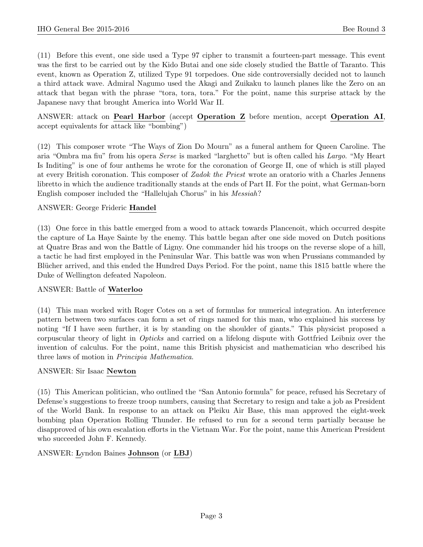(11) Before this event, one side used a Type 97 cipher to transmit a fourteen-part message. This event was the first to be carried out by the Kido Butai and one side closely studied the Battle of Taranto. This event, known as Operation Z, utilized Type 91 torpedoes. One side controversially decided not to launch a third attack wave. Admiral Nagumo used the Akagi and Zuikaku to launch planes like the Zero on an attack that began with the phrase "tora, tora, tora." For the point, name this surprise attack by the Japanese navy that brought America into World War II.

ANSWER: attack on Pearl Harbor (accept Operation Z before mention, accept Operation AI, accept equivalents for attack like "bombing")

(12) This composer wrote "The Ways of Zion Do Mourn" as a funeral anthem for Queen Caroline. The aria "Ombra ma fiu" from his opera Serse is marked "larghetto" but is often called his Largo. "My Heart Is Inditing" is one of four anthems he wrote for the coronation of George II, one of which is still played at every British coronation. This composer of Zadok the Priest wrote an oratorio with a Charles Jennens libretto in which the audience traditionally stands at the ends of Part II. For the point, what German-born English composer included the "Hallelujah Chorus" in his Messiah?

# ANSWER: George Frideric Handel

(13) One force in this battle emerged from a wood to attack towards Plancenoit, which occurred despite the capture of La Haye Sainte by the enemy. This battle began after one side moved on Dutch positions at Quatre Bras and won the Battle of Ligny. One commander hid his troops on the reverse slope of a hill, a tactic he had first employed in the Peninsular War. This battle was won when Prussians commanded by Blücher arrived, and this ended the Hundred Days Period. For the point, name this 1815 battle where the Duke of Wellington defeated Napoleon.

#### ANSWER: Battle of Waterloo

(14) This man worked with Roger Cotes on a set of formulas for numerical integration. An interference pattern between two surfaces can form a set of rings named for this man, who explained his success by noting "If I have seen further, it is by standing on the shoulder of giants." This physicist proposed a corpuscular theory of light in Opticks and carried on a lifelong dispute with Gottfried Leibniz over the invention of calculus. For the point, name this British physicist and mathematician who described his three laws of motion in Principia Mathematica.

#### ANSWER: Sir Isaac Newton

(15) This American politician, who outlined the "San Antonio formula" for peace, refused his Secretary of Defense's suggestions to freeze troop numbers, causing that Secretary to resign and take a job as President of the World Bank. In response to an attack on Pleiku Air Base, this man approved the eight-week bombing plan Operation Rolling Thunder. He refused to run for a second term partially because he disapproved of his own escalation efforts in the Vietnam War. For the point, name this American President who succeeded John F. Kennedy.

# ANSWER: Lyndon Baines Johnson (or LBJ)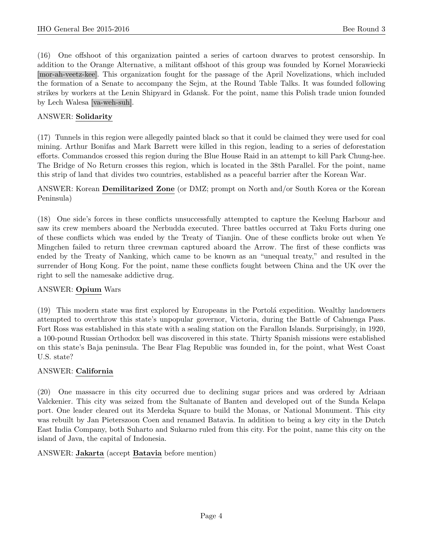(16) One offshoot of this organization painted a series of cartoon dwarves to protest censorship. In addition to the Orange Alternative, a militant offshoot of this group was founded by Kornel Morawiecki [mor-ah-veetz-kee]. This organization fought for the passage of the April Novelizations, which included the formation of a Senate to accompany the Sejm, at the Round Table Talks. It was founded following strikes by workers at the Lenin Shipyard in Gdansk. For the point, name this Polish trade union founded by Lech Walesa [va-weh-suh].

#### ANSWER: Solidarity

(17) Tunnels in this region were allegedly painted black so that it could be claimed they were used for coal mining. Arthur Bonifas and Mark Barrett were killed in this region, leading to a series of deforestation efforts. Commandos crossed this region during the Blue House Raid in an attempt to kill Park Chung-hee. The Bridge of No Return crosses this region, which is located in the 38th Parallel. For the point, name this strip of land that divides two countries, established as a peaceful barrier after the Korean War.

# ANSWER: Korean Demilitarized Zone (or DMZ; prompt on North and/or South Korea or the Korean Peninsula)

(18) One side's forces in these conflicts unsuccessfully attempted to capture the Keelung Harbour and saw its crew members aboard the Nerbudda executed. Three battles occurred at Taku Forts during one of these conflicts which was ended by the Treaty of Tianjin. One of these conflicts broke out when Ye Mingchen failed to return three crewman captured aboard the Arrow. The first of these conflicts was ended by the Treaty of Nanking, which came to be known as an "unequal treaty," and resulted in the surrender of Hong Kong. For the point, name these conflicts fought between China and the UK over the right to sell the namesake addictive drug.

#### ANSWER: Opium Wars

(19) This modern state was first explored by Europeans in the Portol´a expedition. Wealthy landowners attempted to overthrow this state's unpopular governor, Victoria, during the Battle of Cahuenga Pass. Fort Ross was established in this state with a sealing station on the Farallon Islands. Surprisingly, in 1920, a 100-pound Russian Orthodox bell was discovered in this state. Thirty Spanish missions were established on this state's Baja peninsula. The Bear Flag Republic was founded in, for the point, what West Coast U.S. state?

#### ANSWER: California

(20) One massacre in this city occurred due to declining sugar prices and was ordered by Adriaan Valckenier. This city was seized from the Sultanate of Banten and developed out of the Sunda Kelapa port. One leader cleared out its Merdeka Square to build the Monas, or National Monument. This city was rebuilt by Jan Pieterszoon Coen and renamed Batavia. In addition to being a key city in the Dutch East India Company, both Suharto and Sukarno ruled from this city. For the point, name this city on the island of Java, the capital of Indonesia.

#### ANSWER: Jakarta (accept Batavia before mention)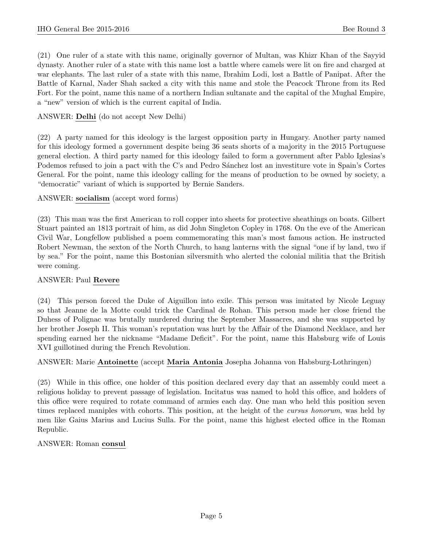(21) One ruler of a state with this name, originally governor of Multan, was Khizr Khan of the Sayyid dynasty. Another ruler of a state with this name lost a battle where camels were lit on fire and charged at war elephants. The last ruler of a state with this name, Ibrahim Lodi, lost a Battle of Panipat. After the Battle of Karnal, Nader Shah sacked a city with this name and stole the Peacock Throne from its Red Fort. For the point, name this name of a northern Indian sultanate and the capital of the Mughal Empire, a "new" version of which is the current capital of India.

# ANSWER: Delhi (do not accept New Delhi)

(22) A party named for this ideology is the largest opposition party in Hungary. Another party named for this ideology formed a government despite being 36 seats shorts of a majority in the 2015 Portuguese general election. A third party named for this ideology failed to form a government after Pablo Iglesias's Podemos refused to join a pact with the C's and Pedro Sánchez lost an investiture vote in Spain's Cortes General. For the point, name this ideology calling for the means of production to be owned by society, a "democratic" variant of which is supported by Bernie Sanders.

#### ANSWER: socialism (accept word forms)

(23) This man was the first American to roll copper into sheets for protective sheathings on boats. Gilbert Stuart painted an 1813 portrait of him, as did John Singleton Copley in 1768. On the eve of the American Civil War, Longfellow published a poem commemorating this man's most famous action. He instructed Robert Newman, the sexton of the North Church, to hang lanterns with the signal "one if by land, two if by sea." For the point, name this Bostonian silversmith who alerted the colonial militia that the British were coming.

#### ANSWER: Paul Revere

(24) This person forced the Duke of Aiguillon into exile. This person was imitated by Nicole Leguay so that Jeanne de la Motte could trick the Cardinal de Rohan. This person made her close friend the Duhess of Polignac was brutally murdered during the September Massacres, and she was supported by her brother Joseph II. This woman's reputation was hurt by the Affair of the Diamond Necklace, and her spending earned her the nickname "Madame Deficit". For the point, name this Habsburg wife of Louis XVI guillotined during the French Revolution.

#### ANSWER: Marie Antoinette (accept Maria Antonia Josepha Johanna von Habsburg-Lothringen)

(25) While in this office, one holder of this position declared every day that an assembly could meet a religious holiday to prevent passage of legislation. Incitatus was named to hold this office, and holders of this office were required to rotate command of armies each day. One man who held this position seven times replaced maniples with cohorts. This position, at the height of the cursus honorum, was held by men like Gaius Marius and Lucius Sulla. For the point, name this highest elected office in the Roman Republic.

#### ANSWER: Roman consul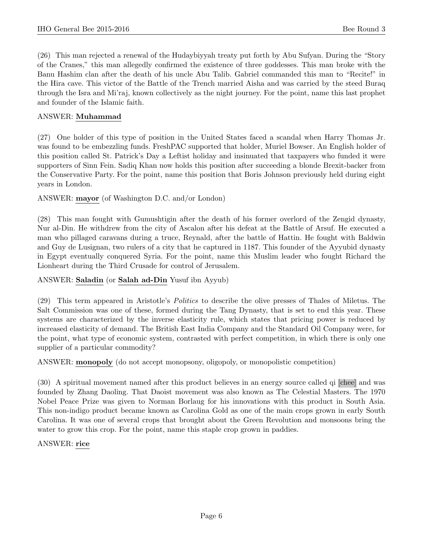(26) This man rejected a renewal of the Hudaybiyyah treaty put forth by Abu Sufyan. During the "Story of the Cranes," this man allegedly confirmed the existence of three goddesses. This man broke with the Banu Hashim clan after the death of his uncle Abu Talib. Gabriel commanded this man to "Recite!" in the Hira cave. This victor of the Battle of the Trench married Aisha and was carried by the steed Buraq through the Isra and Mi'raj, known collectively as the night journey. For the point, name this last prophet and founder of the Islamic faith.

#### ANSWER: Muhammad

(27) One holder of this type of position in the United States faced a scandal when Harry Thomas Jr. was found to be embezzling funds. FreshPAC supported that holder, Muriel Bowser. An English holder of this position called St. Patrick's Day a Leftist holiday and insinuated that taxpayers who funded it were supporters of Sinn Fein. Sadiq Khan now holds this position after succeeding a blonde Brexit-backer from the Conservative Party. For the point, name this position that Boris Johnson previously held during eight years in London.

ANSWER: mayor (of Washington D.C. and/or London)

(28) This man fought with Gumushtigin after the death of his former overlord of the Zengid dynasty, Nur al-Din. He withdrew from the city of Ascalon after his defeat at the Battle of Arsuf. He executed a man who pillaged caravans during a truce, Reynald, after the battle of Hattin. He fought with Baldwin and Guy de Lusignan, two rulers of a city that he captured in 1187. This founder of the Ayyubid dynasty in Egypt eventually conquered Syria. For the point, name this Muslim leader who fought Richard the Lionheart during the Third Crusade for control of Jerusalem.

# ANSWER: Saladin (or Salah ad-Din Yusuf ibn Ayyub)

(29) This term appeared in Aristotle's Politics to describe the olive presses of Thales of Miletus. The Salt Commission was one of these, formed during the Tang Dynasty, that is set to end this year. These systems are characterized by the inverse elasticity rule, which states that pricing power is reduced by increased elasticity of demand. The British East India Company and the Standard Oil Company were, for the point, what type of economic system, contrasted with perfect competition, in which there is only one supplier of a particular commodity?

ANSWER: monopoly (do not accept monopsony, oligopoly, or monopolistic competition)

(30) A spiritual movement named after this product believes in an energy source called qi [chee] and was founded by Zhang Daoling. That Daoist movement was also known as The Celestial Masters. The 1970 Nobel Peace Prize was given to Norman Borlaug for his innovations with this product in South Asia. This non-indigo product became known as Carolina Gold as one of the main crops grown in early South Carolina. It was one of several crops that brought about the Green Revolution and monsoons bring the water to grow this crop. For the point, name this staple crop grown in paddies.

#### ANSWER: rice